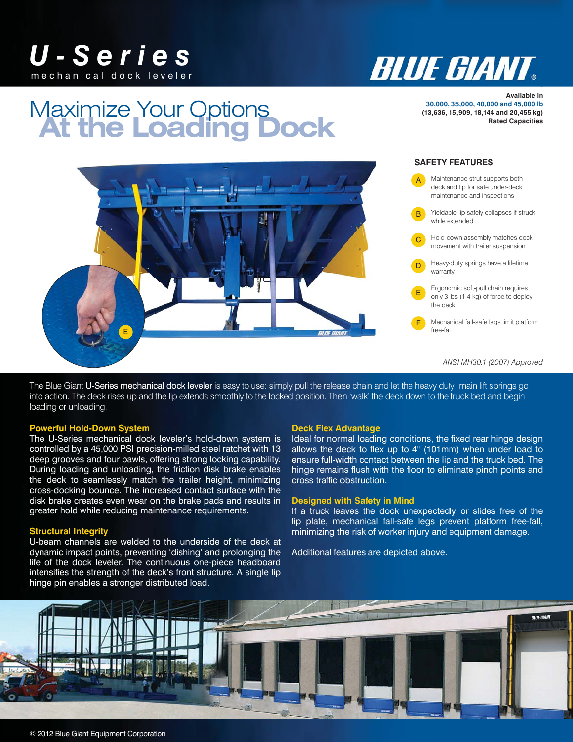



# **At the Loading Dock** Maximize Your Options

**Available in 30,000, 35,000, 40,000 and 45,000 lb (13,636, 15,909, 18,144 and 20,455 kg) Rated Capacities**



The Blue Giant U-Series mechanical dock leveler is easy to use: simply pull the release chain and let the heavy duty main lift springs go into action. The deck rises up and the lip extends smoothly to the locked position. Then 'walk' the deck down to the truck bed and begin loading or unloading.

#### **Powerful Hold-Down System**

The U-Series mechanical dock leveler's hold-down system is controlled by a 45,000 PSI precision-milled steel ratchet with 13 deep grooves and four pawls, offering strong locking capability. During loading and unloading, the friction disk brake enables the deck to seamlessly match the trailer height, minimizing cross-docking bounce. The increased contact surface with the disk brake creates even wear on the brake pads and results in greater hold while reducing maintenance requirements.

### **Structural Integrity**

U-beam channels are welded to the underside of the deck at dynamic impact points, preventing 'dishing' and prolonging the life of the dock leveler. The continuous one-piece headboard intensifies the strength of the deck's front structure. A single lip hinge pin enables a stronger distributed load.

#### **Deck Flex Advantage**

Ideal for normal loading conditions, the fixed rear hinge design allows the deck to flex up to 4" (101mm) when under load to ensure full-width contact between the lip and the truck bed. The hinge remains flush with the floor to eliminate pinch points and cross traffic obstruction.

### **Designed with Safety in Mind**

If a truck leaves the dock unexpectedly or slides free of the lip plate, mechanical fall-safe legs prevent platform free-fall, minimizing the risk of worker injury and equipment damage.

Additional features are depicted above.